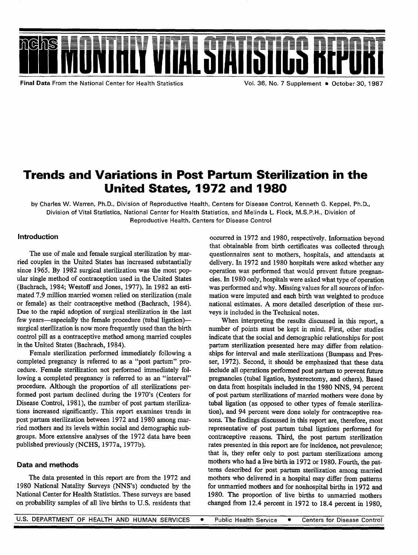

Final Data **From the National Center for Health Statistics Vol. 36, No. 7 Supplement** � **October 30, 1987** 

# Trends and Variations in Post Partum Sterilization in the United States, 1972 and 1980

**by Charles W. Warren, Ph. D., Division of Reproductive Health, Centers for Disease Control, Kenneth G. Keppel, Ph. D.,**  Division of Vital Statistics, National Center for Health Statistics, and Melinda L. Flock, M.S.P.H., Division of **Reproductive Health, Centers for Disease Control** 

#### Introduction

The use of male and female surgical sterilization by married couples in the United States has increased substantially since 1965. By 1982 surgical sterilization was the most popular single method of contraception used in the United States (Bachrach, 1984; Westoff and Jones, 1977). In 1982 an estimated 7.9 million married women relied on sterilization (male or female) as their contraceptive method (Bachrach, 1984). Due to the rapid adoption of surgical sterilization in the last few years-especially the female procedure (tubal ligation)surgical sterilization is now more frequently used than the birth control pill as a contraceptive method among married couples in the United States (Bachrach, 1984).

Female sterilization performed immediately following a completed pregnancy is referred to as a "post partum" procedure. Female sterilization not performed immediately following a completed pregnancy is referred to as an "interval" procedure. Although the proportion of all sterilizations performed post partum declined during the 1970's (Centers for Disease Control, 1981), the number of post partum sterilizations increased significantly. This report examines trends in post partum sterilization between 1972 and 1980 among married mothers and its levels within social and demographic subgroups. More extensive analyses of the 1972 data have been published previously (NCHS, 1977a, 1977b).

### Data and methods

The data presented in this report are from the 1972 and 1980 National Natality Surveys (NNS'S) conducted by the National Center for Health Statistics. These surveys are based on probability samples of all live births to U.S. residents that

occurred in 1972 and 1980, respectively. Information beyond that obtainable from birth certificates was collected through questiomaires sent to mothers, hospitals, and attendants at delivery. In 1972 and 1980 hospitaIs were asked whether any operation was performed that would prevent future pregnancies. In 1980 only, hospitals were asked what type of operation was performed and why. Missing values for all sources of information were imputed and each birth was weighted to produce national estimates. A more detailed description of these surveys is included in the Technical notes.

When interpreting the results discussed in this report, a number of points must be kept in mind. First, other studies indicate that the social and demographic relationships for post partum sterilization presented here may differ from relationships for interval and male sterilizations (Burnpass and Presser, 1972). Second, it should be emphasized that these data include all operations performed post partum to prevent future pregnancies (tubal ligation, hysterectomy, and others). Based on data from hospitals included in the 1980 NNS, 94 percent of post partum sterilizations of married mothers were done by tubal ligation (as opposed to other types of female sterilization), and 94 percent were done solely for contraceptive reasons. The findings discussed in this report are, therefore, most representative of post parturn tubal ligations performed for contraceptive reasons. Third, the post partum sterilization rates presented in this report are for incidence, not prevalence that is, they refer only to post partum sterilizations among mothers who had a live birth in 1972 or 1980. Fourth, the patterns described for post partum sterilization among married mothers who delivered in a hospital may differ from patterns for unmarried mothers and for nonhospital births in 1972 and 1980. The proportion of live births to unmarried mothers changed from 12.4 percent in 1972 to 18.4 percent in 1980,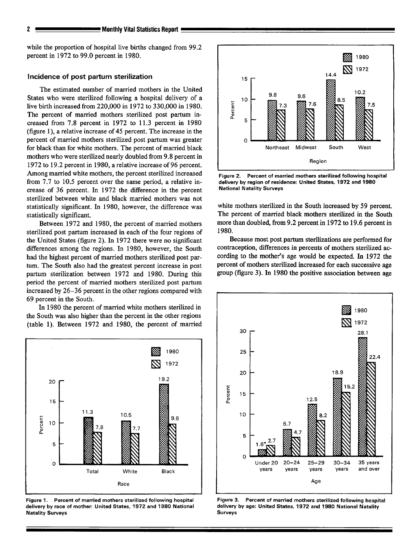while the proportion of hospital live births changed from 99.2 percent in 1972 to 99.0 percent in 1980.

#### **Incidence of post partum sterilization**

The estimated number of married mothers in the United States who were sterilized following a hospital delivery of a live birth increased from 220,000 in 1972 to 330,000 in 1980. The percent of married mothers sterilized post partum increased from 7.8 percent in 1972 to 11.3 percent in 1980 (figure 1), a relative increase of 45 percent. The increase in the percent of married mothers sterilized post partum was greater for black than for white mothers. The percent of married black mothers who were sterilized nearly doubled from 9.8 percent in 1972 to 19.2 percent in 1980, a relative increase of 96 percent. Among married white mothers, the percent sterilized increased from 7.7 to 10.5 percent over the same period, a relative increase of 36 percent. In 1972 the difference in the percent sterilized between white and black married mothers was not statistically significant. In 1980, however, the difference was statistically significant.

Between 1972 and 1980, the percent of married mothers sterilized post partum increased in each of the four regions of the United States (figure 2). In 1972 there were no significant differences among the regions. In 1980, however, the South had the highest percent of married mothers sterilized post partum. The South also had the greatest percent increase in post partum sterilization between 1972 and 1980. During this period the percent of married mothers sterilized post partum increased by 26–36 percent in the other regions compared with 69 percent in the South.

In 1980 the percent of married white mothers sterilized in the South was also higher than the percent in the other regions (table 1). Between 1972 and 1980, the percent of married



**Figure 2.** Percent of married mothers sterilized following hospital delivery by region of residence: United States, 1972 and 1980 National Natality Surveys

white mothers sterilized in the South increased by 59 percent. The percent of married black mothers sterilized in the South more than doubled, from 9.2 percent in 1972 to 19.6 percent in 1980.

Because most post partum sterilizations are performed for contraception, differences in percents of mothers sterilized ae cording to the mother's age would be expected. In 1972 the percent of mothers sterilized increased for each successive age group (figure 3). In 1980 the positive association between age



Figure 1. Percent of merried mothers sterilized following hospital delivery by race of mother: United States, 1972 and 1980 National Natelity Surveys



Figure 3. Percent of married mothers sterilized following hospital delivery by age: United States, 1972 and 1980 National Natality **Surveys**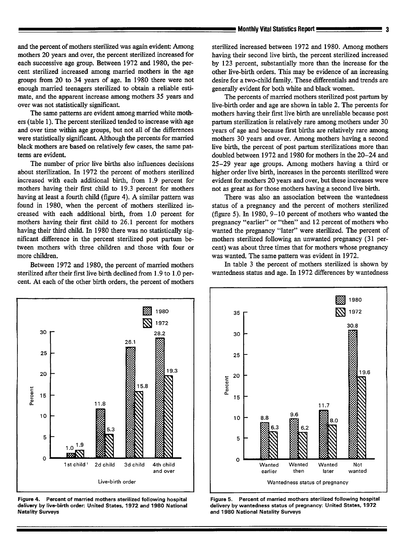and the percent of mothers sterilized was again evident: Among mothers 20 years and over, the percent sterilized increased for each successive age group. Between 1972 and 1980, the percent sterilized increased among married mothers in the age groups from 20 to 34 years of age. In 1980 there were not enough married teenagers sterilized to obtain a reliable estimate, and the apparent increase among mothers 35 years and over was not statistically significant.

The same patterns are evident among married white mothers (table 1). The percent sterilized tended to increase with age and over time within age groups, but not all of the differences were statistically significant. Although the percents for married black mothers are based on relatively few cases, the same patterns are evident.

The number of prior live births also influences decisions about sterilization. In 1972 the percent of mothers sterilized increased with each additional birth, from 1.9 percent for mothers having their frst child to 19.3 percent for mothers having at least a fourth child (figure 4). A similar pattern was found in 1980, when the percent of mothers sterilized increased with each additional birth, from 1.0 percent for mothers having their first child to 26.1 percent for mothers having their third child. In 1980 there was no statistically significant difference in the percent sterilized post partum between mothers with three children and those with four or more children.

Between 1972 and 1980, the percent of married mothers sterilized after their first live birth declined from 1.9 to 1.0 percent. At each of the other birth orders, the percent of mothers

sterilized increased between 1972 and 1980. Among mothers having their second live birth, the percent sterilized increased by 123 percent, substantially more than the increase for the other live-birth orders. This may be evidence of an increasing desire for a two-child family. These differentials and trends are generally evident for both white and black women.

The percents of married mothers sterilized post partum by live-birth order and age are shown in table 2. The percents for mothers having their first live birth are unreliable because post partum sterilization is relatively rare among mothers under 30 years of age and because first births are relatively rare among mothers 30 years and over. Among mothers having a second live birth, the percent of post partum sterilizations more than doubled between 1972 and 1980 for mothers in the 20-24 and 25–29 year age groups. Among mothers having a third or higher order live birth, increases in the percents sterilized were evident for mothers 20 years and over, but these increases were not as great as for those mothers having a second live birth.

There was also an association between the wantedness status of a pregnancy and the percent of mothers sterilized (figure 5). In 1980,  $9-10$  percent of mothers who wanted the pregnancy "earlier" or "then" and 12 percent of mothers who wanted the pregnancy "later" were sterilized. The percent of mothers sterilized following an unwanted pregnancy (31 percent) was about three times that for mothers whose pregnancy was wanted. The same pattern was evident in 1972.

In table 3 the percent of mothers sterilized is shown by wantedness status and age. In 1972 differences by wantedness



**Figure 4. Percent of merried mothers sterilized** following hospital delivery by live-birth order: United States, 1972 and 1980 National Natality Surveys



Figure 5. Percent of married mothers sterilized following hospital delivery by wantedness status of pregnancy: United States, 1972 and 1980 National Natality Surveys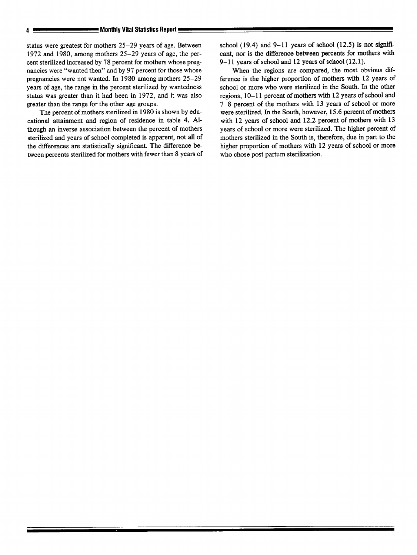status were greatest for mothers 25–29 years of age. Between 1972 and 1980, among mothers 25–29 years of age, the percent sterilized increased by 78 percent for mothers whose pregnancies were "wanted then" and by 97 percent for those whose pregnancies were not wanted. In 1980 among mothers 25–29 years of age, the range in the percent sterilized by wontedness status was greater than it had been in 1972, and it was also greater than the range for the other age groups.

The percent of mothers sterilized in 1980 is shown by educational attainment and region of residence in table 4. Although an inverse association between the percent of mothers sterilized and years of school completed is apparent, not all of the differences are statistically significant. The difference between percents sterilized for mothers with fewer than 8 years of school (19.4) and  $9-11$  years of school (12.5) is not significant, nor is the difference between percents for mothers with 9-11 years of school and 12 years of school (12.1).

When the regions are compared, the most obvious difference is the higher proportion of mothers with 12 years of school or more who were sterilized in the South. In the other regions, 10–11 percent of mothers with 12 years of school and 7–8 percent of the mothers with 13 years of school or more were sterilized. In the South, however, 15.6 percent of mothers with 12 years of school and 12.2 percent of mothers with 13 years of school or more were sterilized. The higher percent of mothers sterilized in the South is, therefore, due in part to the higher proportion of mothers with 12 years of school or more who chose post partum sterilization.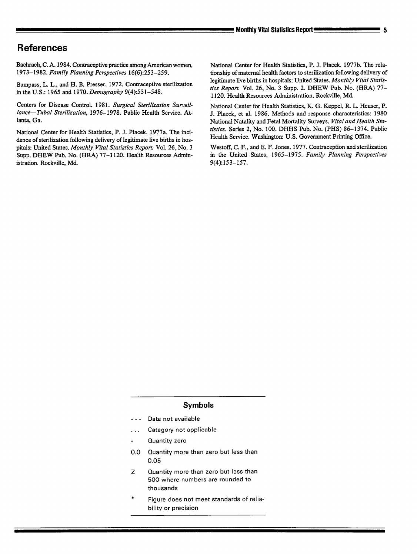Bachrach, C. A. 1984. Contraceptive practice among American women, 1973-1982. *Family Planning Perspectives 16(6):253-259.* 

Bumpass, L. L., and H. B. Presser. 1972. Contraceptive sterilization inthe U.S.: 1965 and *1970. Demography 9(4):531-548.* 

Centers for Disease Control. 1981. *Surgical Sterilization Surveiilance—Tubal Sterilization, 1976-1978.* Public Health Service. Atlanta, Ga.

National Center for Health Statistics, P. J. Placek. 1977a. The incidence of sterilization following delivery of legitimate live births in hospitals: United States. *Monthly Vital Statistics Report.* Vol. *26, No. 3*  Supp. DHEW Pub. No. (HR4) 77-1120. Health Resources Administration. Rockville, Md.

National Center for Health Statistics, P. J. Placek. 1977b. The relationship of maternal health factors to sterilization following delivery of legitimate live births in hospitals: United States. Monthly Vital Statis*tics Report.* Vol. 26, No. 3 Supp. 2. DHEW Pub. No. (HRA) 77- 1120. Health Resources Administration. Rockville, Md.

National Center for Health Statistics, K. G. Keppel, R L. Heuser, P. J. Placek, et al. 1986. Methods and response characteristics: 1980 National Natality and Fetal Mortality Surveys. *Vital and Health Statistics. Series 2, No. 100.* DHHS Pub. No. (PHS) 86-1374. Public Health Service. Washington: U.S. Government Printing Office.

Westoff, C. F., and E. F. Jones. 1977. Contraception and sterilization in the United States, 1965 – 1975. *Family Planning Perspectives 9(4]153-157.* 

#### **Symbols**

- --- Data not available
- ... Category not applicable
- Quantity zero
- 0.0 Quantity **more than zero but less than 0.05**
- z Quantity **more than zero but less than 500 where numbers are rounded to thousands**
- **\* Figure does not meet standards of reliability or precision**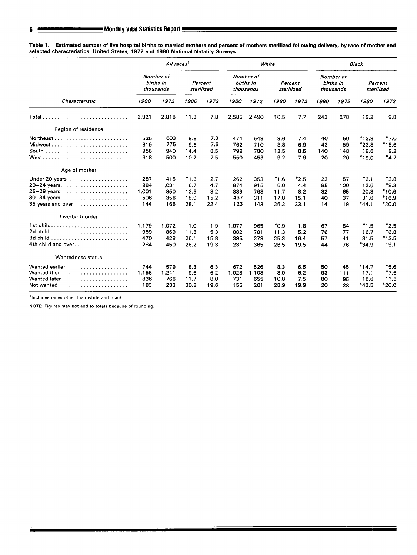**Table 1. Estimated number of live hospital births to married mothers and percent of mothers sterilized** following **delivery, by race of mother and selected characteristics: United Stetes, 1972 and 1980 National Natality Surveys** 

|                     |       | All races <sup>1</sup>              |        |                       |       |                                     | White     |                       | <b>Black</b> |                                     |         |                       |
|---------------------|-------|-------------------------------------|--------|-----------------------|-------|-------------------------------------|-----------|-----------------------|--------------|-------------------------------------|---------|-----------------------|
|                     |       | Number of<br>births in<br>thousands |        | Percent<br>sterilized |       | Number of<br>births in<br>thousands |           | Percent<br>sterilized |              | Number of<br>births in<br>thousands |         | Percent<br>sterilized |
| Characteristic      | 1980  | 1972                                | 1980   | 1972                  | 1980  | 1972                                | 1980      | 1972                  | 1980         | 1972                                | 1980    | 1972                  |
| $Total$             | 2,921 | 2.818                               | 11.3   | 7.8                   | 2,585 | 2.490                               | 10.5      | 7.7                   | 243          | 278                                 | 19.2    | 9.8                   |
| Region of residence |       |                                     |        |                       |       |                                     |           |                       |              |                                     |         |                       |
| Northeast           | 526   | 603                                 | 9.8    | 7.3                   | 474   | 548                                 | 9.6       | 7.4                   | 40           | 50                                  | $*12.9$ | $*7.0$                |
| Midwest             | 819   | 775                                 | 9.6    | 7.6                   | 762   | 710                                 | 8.8       | 6.9                   | 43           | 59                                  | $*23.8$ | $*15.6$               |
| South               | 958   | 940                                 | 14.4   | 8.5                   | 799   | 780                                 | 13.5      | 8.5                   | 140          | 148                                 | 19.6    | 9.2                   |
|                     | 618   | 500                                 | 10.2   | 7.5                   | 550   | 453                                 | 9.2       | 7.9                   | 20           | 20                                  | $*19.0$ | $*4.7$                |
| Age of mother       |       |                                     |        |                       |       |                                     |           |                       |              |                                     |         |                       |
| Under 20 years      | 287   | 415                                 | $*1.6$ | 2.7                   | 262   | 353                                 | $*1.6$    | $*2.5$                | 22           | 57                                  | $*2.1$  | $*3.8$                |
| 20-24 years         | 984   | 1,031                               | 6.7    | 4.7                   | 874   | 915                                 | 6.0       | 4,4                   | 85           | 100                                 | 12.6    | $*8.3$                |
| 25-29 years         | 1,001 | 850                                 | 12.5   | 8.2                   | 889   | 768                                 | 11.7      | 8.2                   | 82           | 65                                  | 20.3    | $*10.6$               |
| $30 - 34$ years     | 506   | 356                                 | 18.9   | 15.2                  | 437   | 311                                 | 17.8      | 15.1                  | 40           | 37                                  | 31.6    | $*16.9$               |
| 35 years and over   | 144   | 166                                 | 28.1   | 22.4                  | 123   | 143                                 | 26.2      | 23.1                  | 14           | 19                                  | $*44.1$ | $*20.0$               |
| Live-birth order    |       |                                     |        |                       |       |                                     |           |                       |              |                                     |         |                       |
| 1st child           | 1.179 | 1.072                               | 1.0    | 1.9                   | 1,077 | 965                                 | $*_{0.9}$ | 1.8                   | 67           | 84                                  | $*1.5$  | $*2.5$                |
| 2d child            | 989   | 869                                 | 11.8   | 5.3                   | 882   | 781                                 | 11.3      | 5.2                   | 76           | 77                                  | 16.7    | $*6.8$                |
|                     | 470   | 428                                 | 26.1   | 15.8                  | 395   | 379                                 | 25.3      | 16.4                  | 57           | 41                                  | 31.5    | $*13.5$               |
| 4th child and over  | 284   | 450                                 | 28.2   | 19.3                  | 231   | 365                                 | 26.5      | 19.5                  | 44           | 76                                  | $*34.9$ | 19.1                  |
| Wantedness status   |       |                                     |        |                       |       |                                     |           |                       |              |                                     |         |                       |
| Wanted earlier      | 744   | 579                                 | 8.8    | 6.3                   | 672   | 526                                 | 8.3       | 6.5                   | 50           | 45                                  | $*14.7$ | $*_{5.6}$             |
| Wanted then         | 1,158 | 1,241                               | 9.6    | 6.2                   | 1,028 | 1,108                               | 8.9       | 6.2                   | 93           | 111                                 | 17.1    | $*7.6$                |
| Wanted later        | 836   | 766                                 | 11.7   | 8.0                   | 731   | 655                                 | 10.8      | 7.5                   | 80           | 95                                  | 18.6    | 11.5                  |
| Not wanted          | 183   | 233                                 | 30.8   | 19.6                  | 155   | 201                                 | 28.9      | 19.9                  | 20           | 28                                  | $*42.5$ | $*20.0$               |

<sup>1</sup>Includes races other than white and black.

NOTE: Figuras may not add to totals becauae of rounding.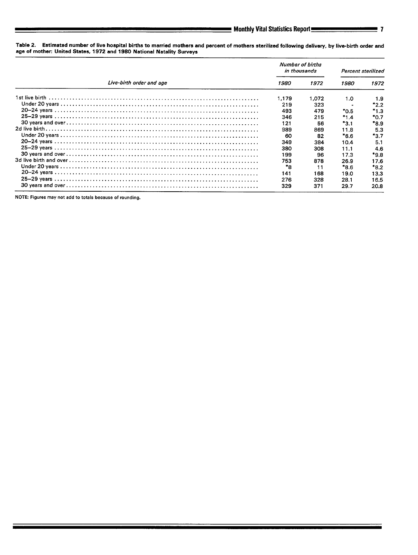Table 2. Estimated number of live hospital births to married mothers and percent of mothers sterilized following delivery, by live-birth order and age of mother United States, 1972 and 1980 National Natality Surveys

|                          | Number of births<br>in thousands |       | Percent sterilized |           |
|--------------------------|----------------------------------|-------|--------------------|-----------|
| Live-birth order and age | 1980                             | 1972  | 1980               | 1972      |
|                          | 1,179                            | 1,072 | 1.0                | 1.9       |
|                          | 219                              | 323   |                    | $*2.2$    |
|                          | 493                              | 479   | *0.5               | *1.3      |
|                          | 346                              | 215   | $*1.4$             | $*_{0.7}$ |
|                          | 121                              | 56    | $*3.1$             | $*_{8.9}$ |
|                          | 989                              | 869   | 11.8               | 5.3       |
|                          | -60                              | 82    | $*_{6.6}$          | *3.7      |
|                          | 349                              | 384   | 10.4               | 5.1       |
|                          | 380                              | 308   | 11.1               | 4.6       |
|                          | 199                              | 96    | 17.3               | *9.8      |
|                          | 753                              | 878   | 26.9               | 17.6      |
|                          | *8                               |       | *8.6               | $*_{8.2}$ |
|                          | 141                              | 168   | 19.0               | 13.3      |
|                          | 276                              | 328   | 28.1               | 16.5      |
|                          | 329                              | 371   | 29.7               | 20.8      |

**NOTE: Figures may not add to totals because of rounding.**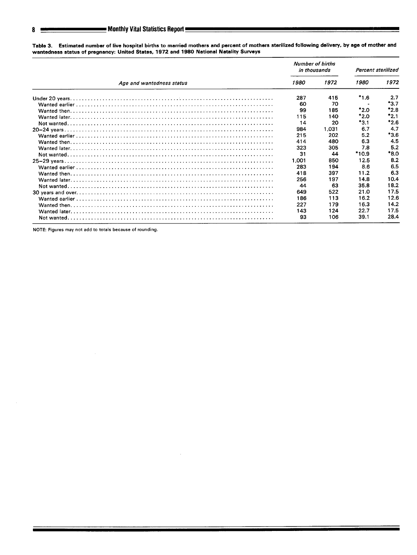|                           | <b>Number of births</b><br>in thousands |       | Percent sterilized |           |
|---------------------------|-----------------------------------------|-------|--------------------|-----------|
| Age and wantedness status |                                         | 1972  | 1980               | 1972      |
|                           | 287                                     | 415   | $*1.6$             | 2.7       |
|                           | 60                                      | 70    |                    | $*3.7$    |
|                           | 99                                      | 185   | $*2.0$             | $*2.8$    |
|                           | 115                                     | 140   | *2.0               | $*_{2.1}$ |
|                           | 14                                      | 20    | $*3.1$             | $*2.6$    |
|                           | 984                                     | 1.031 | 6.7                | 4.7       |
|                           | 215                                     | 202   | 5.2                | $*3.6$    |
|                           | 414                                     | 480   | 63                 | 4.5       |
|                           | 323                                     | 305   | 7.8                | 5.2       |
|                           | 31                                      | 44    | *10.9              | *8.0      |
|                           | 1.001                                   | 850   | 12.5               | 8.2       |
|                           | 283                                     | 194   | 8.6                | 6.5       |
|                           | 418                                     | 397   | 11.2               | 6.3       |
|                           | 256                                     | 197   | 14.8               | 10.4      |
|                           | 44                                      | 63    | 35.8               | 18.2      |
|                           | 649                                     | 522   | 21.0               | 17.5      |
|                           | 186                                     | 113   | 16.2               | 12.6      |
|                           | 227                                     | 179   | 16.3               | 14.2      |
|                           | 143                                     | 124   | 22.7               | 17.5      |
|                           | 93                                      | 106   | 39.1               | 28.4      |

Table 3. Estimated number of live hospital births to married mothers and percent of mothers sterilized following delivery, by age of mother and<br>wantedness status of pregnancy: United States, 1972 and 1980 National Natality

NOTE: Figures may not add to totals because of rounding.

8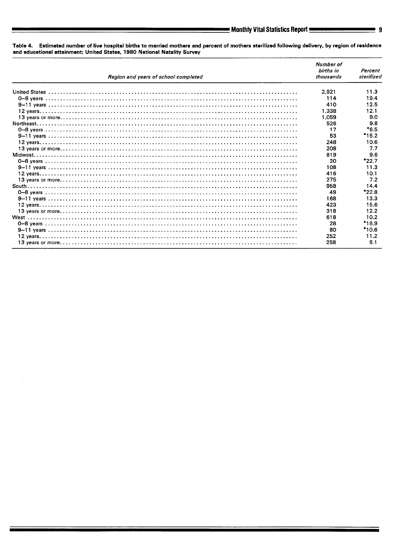Table 4. Estimated number of live hospital births to married mothers and percent of mothers sterilized following delivery, by region of residence<br>and educational attainment: United States, 1980 National Natality Survey

| Region and vears of school completed | Number of<br>births in<br>thousands | Percent<br>sterilized |
|--------------------------------------|-------------------------------------|-----------------------|
|                                      | 2,921                               | 11.3                  |
|                                      | 114                                 | 19.4                  |
|                                      | 410                                 | 12.5                  |
|                                      | 1.338                               | 12.1                  |
|                                      | 1.059                               | 9.0                   |
|                                      | 526                                 | 9.8                   |
|                                      | 17                                  | $*6.5$                |
|                                      | 53                                  | $*15.2$               |
|                                      | 248                                 | 10.6                  |
|                                      | 208                                 | 7.7                   |
|                                      | 819                                 | 9.6                   |
|                                      | 20                                  | $*22.7$               |
|                                      | 108                                 | 11.3                  |
|                                      | 416                                 | 10.1                  |
|                                      | 275                                 | 7.2                   |
|                                      | 958                                 | 14.4                  |
|                                      | 49                                  | $*22.8$               |
|                                      | 168                                 | 13.3                  |
|                                      | 423                                 | 15.6                  |
|                                      | 318                                 | 12.2                  |
|                                      | 618                                 | 10.2                  |
|                                      | 28                                  | $*18.9$               |
|                                      | 80                                  | $*10.6$               |
|                                      | 252                                 | 11.2                  |
|                                      | 258                                 | 8.1                   |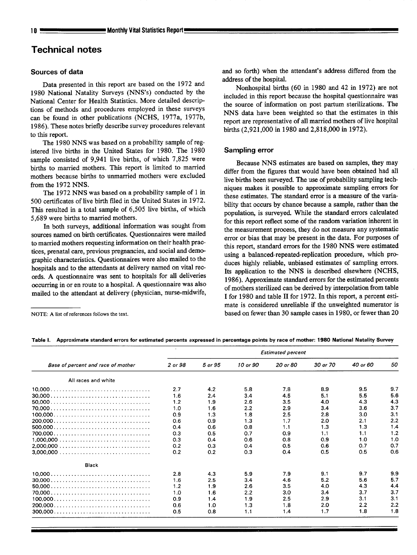# Technical notes

#### **Sources of data**

Data presented in this report are based on the 1972 and 1980 National Natality Surveys (NNS'S) conducted by the National Center for Health Statistics. More detailed descriptions of methods and procedures employed in these surveys can be found in other publications (NCHS, 1977a, 1977b, 1986). These notes briefly describe survey procedures relevant to this report.

The 1980 NNS was based on a probability sample of registered live births in the United States for 1980. The 1980 sample consisted of 9,941 live births, of which 7,825 were births to married mothers. This report is limited to married mothers because births to unmarried mothers were excluded from the 1972 NNS.

The 1972 NNS was based on a probability sample of 1 in 500 certificates of live birth filed in the United States in 1972. This resulted in a total sample of 6,505 live births, of which 5,689 were births to married mothers.

In both surveys, additional information was sought from sources named on birth certificates. Questionnaires were mailed to married mothers requesting information on their health practices, prenatal care, previous pregnancies, and social and demographic characteristics. Questionnaires were also mailed to the hospitals and to the attendants at delivery named on vital records. A questionnaire was sent to hospitals for all deliveries occurring in or en route to a hospital. A questionnaire was also mailed to the attendant at delivery (physician, nurse-midwife,

and so forth) when the attendant's address differed from the address of the hospital.

Nonhospital births (60 in 1980 and 42 in 1972) are not included in this report because the hospital questionnaire was the source of information on post parturn sterilizations. The NNS data have been weighted so that the estimates in this report are representative of all married mothers of live hospital births (2,921,000 in 1980 and 2,818,000 in 1972).

## **Sampling error**

**Because NNS** estimates are based on samples, they may differ from the figures that would have been obtained had all live births been surveyed. The use of probability sampling tech niques makes it possible to approximate sampling errors for these estimates. The standard error is a measure of the variability that occurs by chance because a sample, rather than the population, is surveyed. While the standard errors calculated for this report reflect some of the random variation inherent in the measurement process, they do not measure any systematic error or bias that may be present in the data. For purposes of this report, standard errors for the 1980 NNS were estimated using a balanced-repeated-replication procedure, which produces highly reliable, unbiased estimates of sampling errors. Its application to the NNS is described elsewhere (NCHS, 1986). Approximate standard errors for the estimated percents of mothers sterilized can be derived by interpolation from table I for 1980 and table II for 1972. In this report, a percent estimate is considered unreliable if the unweighed numerator is based on fewer than 30 sample cases in 1980, or fewer than 20

NOTE: A list of references follows the text.

Table I. Approximate standard errors for estimated percents axpressed in percentage points by race of mother: 1980 National Natality Survey

|                                                                                 | <b>Estimated percent</b> |         |          |          |          |          |     |  |  |
|---------------------------------------------------------------------------------|--------------------------|---------|----------|----------|----------|----------|-----|--|--|
| Base of percent and race of mother                                              | 2 or 98                  | 5 or 95 | 10 or 90 | 20 or 80 | 30 or 70 | 40 or 60 | 50  |  |  |
| All races and white                                                             |                          |         |          |          |          |          |     |  |  |
|                                                                                 | 2.7                      | 4.2     | 5.8      | 7.8      | 8.9      | 9.5      | 9.7 |  |  |
|                                                                                 | 1.6                      | 2.4     | 3.4      | 4.5      | 5.1      | 5.5      | 5.6 |  |  |
|                                                                                 | 1.2                      | 1.9     | 2.6      | 3.5      | 4.0      | 4.3      | 4.3 |  |  |
|                                                                                 | 1.0                      | 1.6     | 2.2      | 2.9      | 3.4      | 3.6      | 3.7 |  |  |
|                                                                                 | 0.9                      | 1.3     | 1.8      | 2.5      | 2.8      | 3.0      | 3.1 |  |  |
|                                                                                 | 0.6                      | 0.9     | 1.3      | 1.7      | 2.0      | 2.1      | 2.2 |  |  |
|                                                                                 | 0.4                      | 0.6     | 0.8      | 1.1      | 1.3      | 1.3      | 1.4 |  |  |
|                                                                                 | 0.3                      | 0.5     | 0.7      | 0.9      | 1.1      | 1.1      | 1.2 |  |  |
|                                                                                 | 0.3                      | 0.4     | 0.6      | 0.8      | 0.9      | 1.0      | 1.0 |  |  |
|                                                                                 | 0.2                      | 0.3     | O.4      | 0.5      | 0.6      | 0.7      | 0.7 |  |  |
|                                                                                 | 0.2                      | 0.2     | 0.3      | 0.4      | 0.5      | 0.5      | 0.6 |  |  |
| <b>Black</b>                                                                    |                          |         |          |          |          |          |     |  |  |
|                                                                                 | 2.8                      | 4.3     | 5.9      | 7.9      | 9.1      | 9.7      | 9.9 |  |  |
|                                                                                 | 1.6                      | 2.5     | 3.4      | 4.6      | 5.2      | 5.6      | 5.7 |  |  |
|                                                                                 | 1.2                      | 1.9     | 2.6      | 3.5      | 4.0      | 4.3      | 4.4 |  |  |
|                                                                                 | 1.0                      | 1.6     | 2.2      | 3.0      | 3.4      | 3.7      | 3.7 |  |  |
|                                                                                 | 0.9                      | 1.4     | 1.9      | 2.5      | 2.9      | 3.1      | 3.1 |  |  |
|                                                                                 | 0.6                      | 1.0     | 1.3      | 1.8      | 2.0      | 2.2      | 2.2 |  |  |
| $300,000 \ldots \ldots \ldots \ldots \ldots \ldots \ldots \ldots \ldots \ldots$ | 0.5                      | 0.8     | 1.1      | 1.4      | 1.7      | 1.8      | 1.8 |  |  |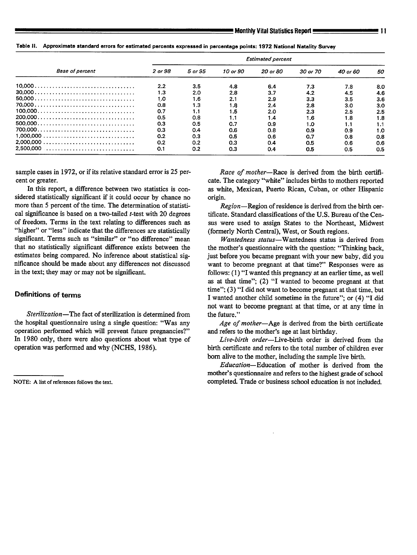**TabIa Il. Approximate standard arrors** for estimated parcents expressed in parentage points: 1972 National **Natality Suwey** 

| <b>Base of percent</b> | <b>Estimated percent</b> |         |          |          |          |          |     |  |  |
|------------------------|--------------------------|---------|----------|----------|----------|----------|-----|--|--|
|                        | 2 or 98                  | 5 or 95 | 10 or 90 | 20 or 80 | 30 or 70 | 40 or 60 | 50  |  |  |
|                        | 2.2                      | 3.5     | 4.8      | 6.4      | 7.3      | 7.8      | 8.0 |  |  |
|                        | 1.3                      | 2.0     | 2.8      | 3.7      | 4.2      | 4.5      | 4.6 |  |  |
|                        | 1.0                      | 1.6     | 2.1      | 2.9      | 3.3      | 3.5      | 3.6 |  |  |
|                        | 0.8                      | 1.3     | 1.8      | 2.4      | 2.8      | 3.0      | 3.0 |  |  |
|                        | 0.7                      | 1.1     | 1.5      | 2.0      | 2.3      | $2.5\,$  | 2.5 |  |  |
|                        | 0.5                      | 0.8     | 1.1      | 1.4      | 1.6      | 1.8      | 1.8 |  |  |
|                        | 0.3                      | 0.5     | 0.7      | 0.9      | 1.0      | 1.1      | 1.1 |  |  |
|                        | 0.3                      | 0.4     | 0.6      | 0.8      | 0.9      | 0.9      | 1.0 |  |  |
|                        | 0.2                      | 0.3     | 0.5      | 0.6      | 0.7      | 0.8      | 0.8 |  |  |
|                        | 0.2                      | 0.2     | 0.3      | 0.4      | 0.5      | 0.6      | 0.6 |  |  |
|                        | 0.1                      | 0.2     | 0.3      | 0.4      | 0.5      | 0.5      | 0.5 |  |  |

sample cases in 1972, or if its relative standard error is 25 percent or greater.

In this report, a difference between two statistics is considered statistically significant if it could occur by chance no more than 5 percent of the time. The determination of statistical significance is based on a two-tailed *-test with 20 degrees* of freedom. Terms in the text relating to differences such as "higher" or "less" indicate that the differences are statistically significant. Terms such as "similar" or "no difference" mean that no statistically significant difference exists between the estimates being compared. No inference about statistical significance should be made about any differences not discussed in the text; they may or may not be significant.

#### Definitions of terms

*Sterilization*—The fact of sterilization is determined from the hospital questionnaire using a single question: "Was any operation performed which will prevent future pregnancies?" In 1980 only, there were also questions about what type of operation was performed and why (NCHS, 1986).

*Race of mother*—Race is derived from the birth certificate. The category "white" includes births to mothers reported as white, Mexican, Puerto Rican, Cuban, or other Hispanic origin.

*Region—Region* of residence is derived from the birth certificate. Standard classifications of the U.S. Bureau of the Census were used to assign States to the Northeast, Midwest (formerly North Central), West, or South regions.

*Wontedness status—Wontedness* status is derived from the mother's questionnaire with the question: "Thinking back, just before you became pregnant with your new baby, did you want to become pregnant at that time?" Responses were as follows: (1) "I wanted this pregnancy at an earlier time, as well as at that time"; (2) "I wanted to become pregnant at that time"; (3) "I did not want to become pregnant at that time, but I wanted another child sometime in the future"; or (4) "I did not want to become pregnant at that time, or at any time in the fiture."

*Age of mother—Age* is derived from the birth certificate and refers to the mother's age at last birthday.

Live-birth order—Live-birth order is derived from the birth certificate and refers to the total number of children ever born alive to the mother, including the sample live birth.

Education—Education of mother is derived from the mother's questiomaire and refers to the highest grade of school completed. Trade or business school education is not included.

NOTE: A list of references follows the text.